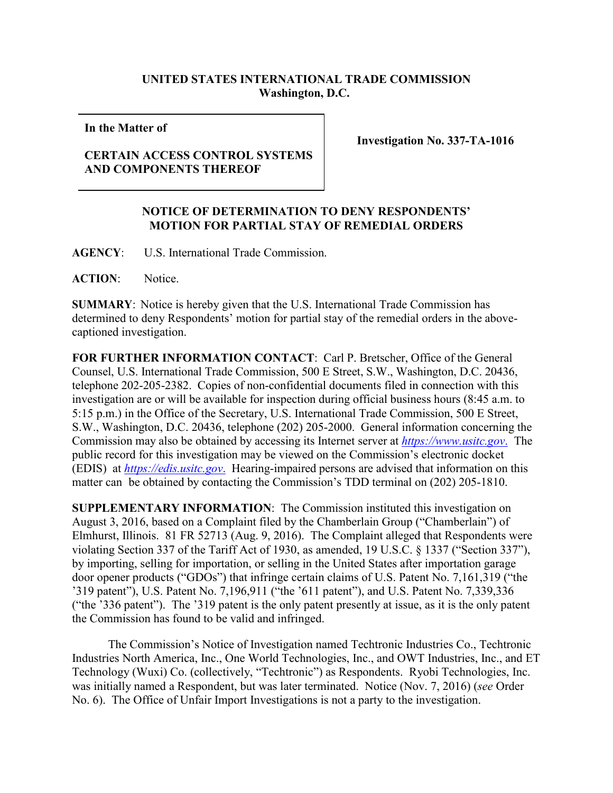## **UNITED STATES INTERNATIONAL TRADE COMMISSION Washington, D.C.**

**In the Matter of**

## **CERTAIN ACCESS CONTROL SYSTEMS AND COMPONENTS THEREOF**

**Investigation No. 337-TA-1016**

## **NOTICE OF DETERMINATION TO DENY RESPONDENTS' MOTION FOR PARTIAL STAY OF REMEDIAL ORDERS**

**AGENCY**: U.S. International Trade Commission.

**ACTION**: Notice.

**SUMMARY**: Notice is hereby given that the U.S. International Trade Commission has determined to deny Respondents' motion for partial stay of the remedial orders in the abovecaptioned investigation.

**FOR FURTHER INFORMATION CONTACT**: Carl P. Bretscher, Office of the General Counsel, U.S. International Trade Commission, 500 E Street, S.W., Washington, D.C. 20436, telephone 202-205-2382. Copies of non-confidential documents filed in connection with this investigation are or will be available for inspection during official business hours (8:45 a.m. to 5:15 p.m.) in the Office of the Secretary, U.S. International Trade Commission, 500 E Street, S.W., Washington, D.C. 20436, telephone (202) 205-2000. General information concerning the Commission may also be obtained by accessing its Internet server at *[https://www.usitc.gov](https://www.usitc.gov./)*. The public record for this investigation may be viewed on the Commission's electronic docket (EDIS) at *[https://edis.usitc.gov](https://edis.usitc.gov./)*. Hearing-impaired persons are advised that information on this matter can be obtained by contacting the Commission's TDD terminal on (202) 205-1810.

**SUPPLEMENTARY INFORMATION**: The Commission instituted this investigation on August 3, 2016, based on a Complaint filed by the Chamberlain Group ("Chamberlain") of Elmhurst, Illinois. 81 FR 52713 (Aug. 9, 2016). The Complaint alleged that Respondents were violating Section 337 of the Tariff Act of 1930, as amended, 19 U.S.C. § 1337 ("Section 337"), by importing, selling for importation, or selling in the United States after importation garage door opener products ("GDOs") that infringe certain claims of U.S. Patent No. 7,161,319 ("the '319 patent"), U.S. Patent No. 7,196,911 ("the '611 patent"), and U.S. Patent No. 7,339,336 ("the '336 patent"). The '319 patent is the only patent presently at issue, as it is the only patent the Commission has found to be valid and infringed.

The Commission's Notice of Investigation named Techtronic Industries Co., Techtronic Industries North America, Inc., One World Technologies, Inc., and OWT Industries, Inc., and ET Technology (Wuxi) Co. (collectively, "Techtronic") as Respondents. Ryobi Technologies, Inc. was initially named a Respondent, but was later terminated. Notice (Nov. 7, 2016) (*see* Order No. 6). The Office of Unfair Import Investigations is not a party to the investigation.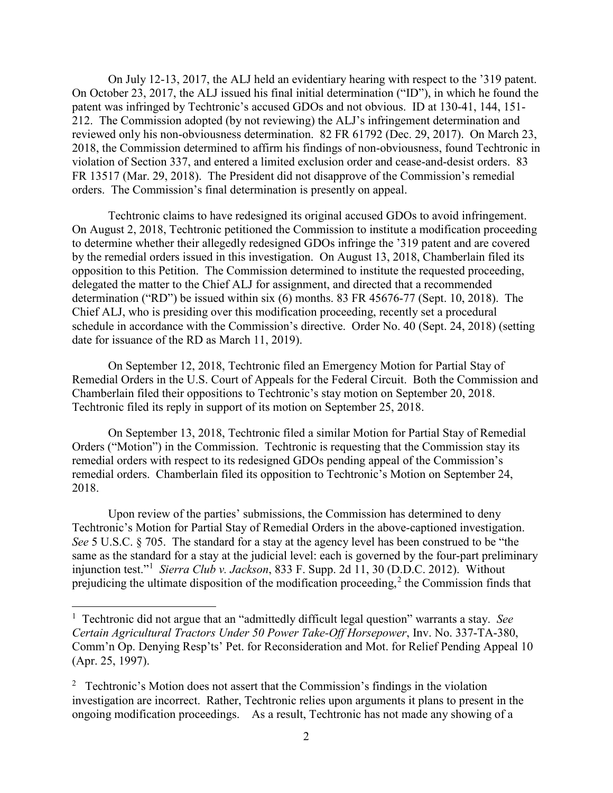On July 12-13, 2017, the ALJ held an evidentiary hearing with respect to the '319 patent. On October 23, 2017, the ALJ issued his final initial determination ("ID"), in which he found the patent was infringed by Techtronic's accused GDOs and not obvious. ID at 130-41, 144, 151- 212. The Commission adopted (by not reviewing) the ALJ's infringement determination and reviewed only his non-obviousness determination. 82 FR 61792 (Dec. 29, 2017). On March 23, 2018, the Commission determined to affirm his findings of non-obviousness, found Techtronic in violation of Section 337, and entered a limited exclusion order and cease-and-desist orders. 83 FR 13517 (Mar. 29, 2018). The President did not disapprove of the Commission's remedial orders. The Commission's final determination is presently on appeal.

Techtronic claims to have redesigned its original accused GDOs to avoid infringement. On August 2, 2018, Techtronic petitioned the Commission to institute a modification proceeding to determine whether their allegedly redesigned GDOs infringe the '319 patent and are covered by the remedial orders issued in this investigation. On August 13, 2018, Chamberlain filed its opposition to this Petition. The Commission determined to institute the requested proceeding, delegated the matter to the Chief ALJ for assignment, and directed that a recommended determination ("RD") be issued within six (6) months. 83 FR 45676-77 (Sept. 10, 2018). The Chief ALJ, who is presiding over this modification proceeding, recently set a procedural schedule in accordance with the Commission's directive. Order No. 40 (Sept. 24, 2018) (setting date for issuance of the RD as March 11, 2019).

On September 12, 2018, Techtronic filed an Emergency Motion for Partial Stay of Remedial Orders in the U.S. Court of Appeals for the Federal Circuit. Both the Commission and Chamberlain filed their oppositions to Techtronic's stay motion on September 20, 2018. Techtronic filed its reply in support of its motion on September 25, 2018.

On September 13, 2018, Techtronic filed a similar Motion for Partial Stay of Remedial Orders ("Motion") in the Commission. Techtronic is requesting that the Commission stay its remedial orders with respect to its redesigned GDOs pending appeal of the Commission's remedial orders. Chamberlain filed its opposition to Techtronic's Motion on September 24, 2018.

Upon review of the parties' submissions, the Commission has determined to deny Techtronic's Motion for Partial Stay of Remedial Orders in the above-captioned investigation. *See* 5 U.S.C. § 705. The standard for a stay at the agency level has been construed to be "the same as the standard for a stay at the judicial level: each is governed by the four-part preliminary injunction test."[1](#page-1-0) *Sierra Club v. Jackson*, 833 F. Supp. 2d 11, 30 (D.D.C. 2012). Without prejudicing the ultimate disposition of the modification proceeding,<sup>[2](#page-1-1)</sup> the Commission finds that

<span id="page-1-0"></span> $\frac{1}{1}$  Techtronic did not argue that an "admittedly difficult legal question" warrants a stay. *See Certain Agricultural Tractors Under 50 Power Take-Off Horsepower*, Inv. No. 337-TA-380, Comm'n Op. Denying Resp'ts' Pet. for Reconsideration and Mot. for Relief Pending Appeal 10 (Apr. 25, 1997).

<span id="page-1-1"></span><sup>&</sup>lt;sup>2</sup> Techtronic's Motion does not assert that the Commission's findings in the violation investigation are incorrect. Rather, Techtronic relies upon arguments it plans to present in the ongoing modification proceedings. As a result, Techtronic has not made any showing of a